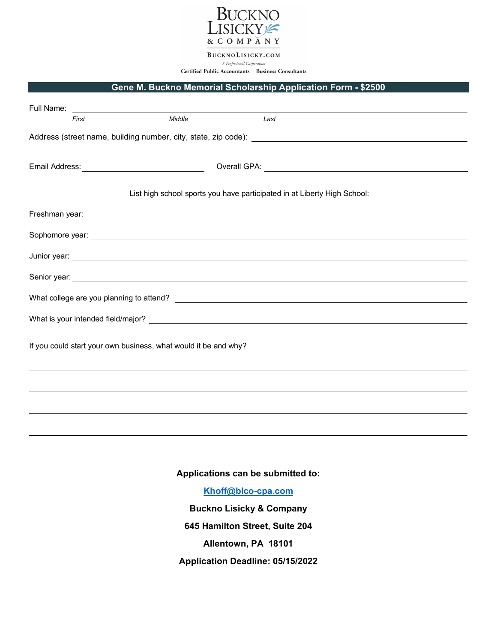

BUCKNOLISICKY.COM A Professional Corporation Certified Public Accountants | Business Consultants

## **Gene M. Buckno Memorial Scholarship Application Form - \$2500**

| Full Name:<br><u>and the state of the state of the state of the state of the state of the state of the state of the state of the state of the state of the state of the state of the state of the state of the state of the state of the state</u> |        |                                                                                                     |  |
|----------------------------------------------------------------------------------------------------------------------------------------------------------------------------------------------------------------------------------------------------|--------|-----------------------------------------------------------------------------------------------------|--|
| First                                                                                                                                                                                                                                              | Middle | Last                                                                                                |  |
|                                                                                                                                                                                                                                                    |        |                                                                                                     |  |
| Email Address: <u>www.community.com</u>                                                                                                                                                                                                            |        |                                                                                                     |  |
|                                                                                                                                                                                                                                                    |        | List high school sports you have participated in at Liberty High School:                            |  |
|                                                                                                                                                                                                                                                    |        |                                                                                                     |  |
|                                                                                                                                                                                                                                                    |        |                                                                                                     |  |
|                                                                                                                                                                                                                                                    |        |                                                                                                     |  |
|                                                                                                                                                                                                                                                    |        | Senior year: experience of the senior of the senior of the senior of the senior of the senior year: |  |
|                                                                                                                                                                                                                                                    |        |                                                                                                     |  |
|                                                                                                                                                                                                                                                    |        |                                                                                                     |  |
| If you could start your own business, what would it be and why?                                                                                                                                                                                    |        |                                                                                                     |  |
|                                                                                                                                                                                                                                                    |        |                                                                                                     |  |
|                                                                                                                                                                                                                                                    |        |                                                                                                     |  |
|                                                                                                                                                                                                                                                    |        |                                                                                                     |  |

**Applications can be submitted to:**

**[Khoff@blco-cpa.com](mailto:Khoff@blco-cpa.com)**

**Buckno Lisicky & Company 645 Hamilton Street, Suite 204 Allentown, PA 18101 Application Deadline: 05/15/2022**